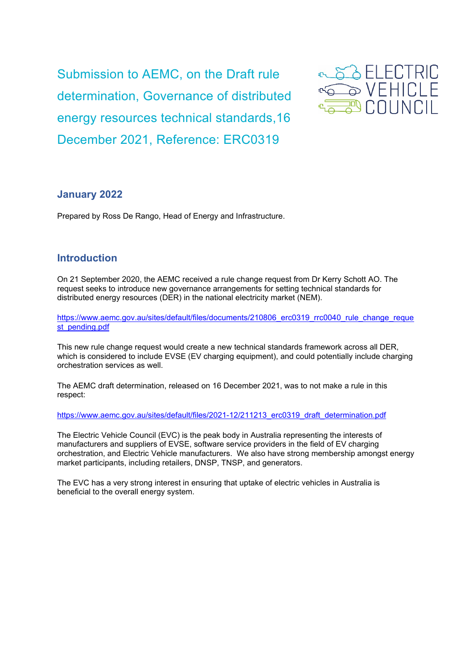Submission to AEMC, on the Draft rule determination, Governance of distributed energy resources technical standards,16 December 2021, Reference: ERC0319



### **January 2022**

Prepared by Ross De Rango, Head of Energy and Infrastructure.

## **Introduction**

On 21 September 2020, the AEMC received a rule change request from Dr Kerry Schott AO. The request seeks to introduce new governance arrangements for setting technical standards for distributed energy resources (DER) in the national electricity market (NEM).

[https://www.aemc.gov.au/sites/default/files/documents/210806\\_erc0319\\_rrc0040\\_rule\\_change\\_reque](https://www.aemc.gov.au/sites/default/files/documents/210806_erc0319_rrc0040_rule_change_request_pending.pdf) [st\\_pending.pdf](https://www.aemc.gov.au/sites/default/files/documents/210806_erc0319_rrc0040_rule_change_request_pending.pdf)

This new rule change request would create a new technical standards framework across all DER, which is considered to include EVSE (EV charging equipment), and could potentially include charging orchestration services as well.

The AEMC draft determination, released on 16 December 2021, was to not make a rule in this respect:

[https://www.aemc.gov.au/sites/default/files/2021-12/211213\\_erc0319\\_draft\\_determination.pdf](https://www.aemc.gov.au/sites/default/files/2021-12/211213_erc0319_draft_determination.pdf)

The Electric Vehicle Council (EVC) is the peak body in Australia representing the interests of manufacturers and suppliers of EVSE, software service providers in the field of EV charging orchestration, and Electric Vehicle manufacturers. We also have strong membership amongst energy market participants, including retailers, DNSP, TNSP, and generators.

The EVC has a very strong interest in ensuring that uptake of electric vehicles in Australia is beneficial to the overall energy system.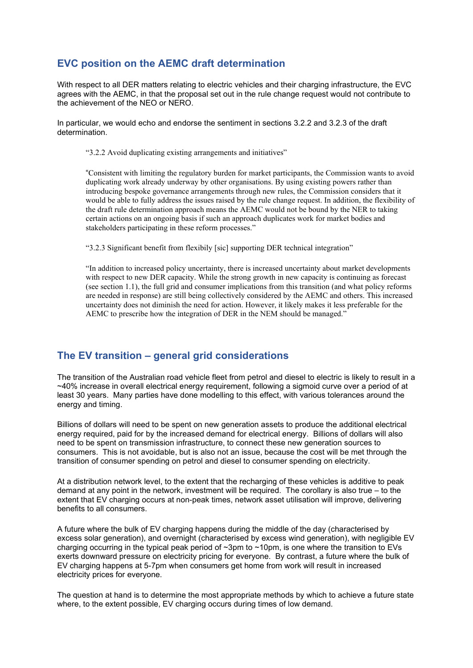# **EVC position on the AEMC draft determination**

With respect to all DER matters relating to electric vehicles and their charging infrastructure, the EVC agrees with the AEMC, in that the proposal set out in the rule change request would not contribute to the achievement of the NEO or NERO.

In particular, we would echo and endorse the sentiment in sections 3.2.2 and 3.2.3 of the draft determination.

"3.2.2 Avoid duplicating existing arrangements and initiatives"

"Consistent with limiting the regulatory burden for market participants, the Commission wants to avoid duplicating work already underway by other organisations. By using existing powers rather than introducing bespoke governance arrangements through new rules, the Commission considers that it would be able to fully address the issues raised by the rule change request. In addition, the flexibility of the draft rule determination approach means the AEMC would not be bound by the NER to taking certain actions on an ongoing basis if such an approach duplicates work for market bodies and stakeholders participating in these reform processes."

"3.2.3 Significant benefit from flexibily [sic] supporting DER technical integration"

"In addition to increased policy uncertainty, there is increased uncertainty about market developments with respect to new DER capacity. While the strong growth in new capacity is continuing as forecast (see section 1.1), the full grid and consumer implications from this transition (and what policy reforms are needed in response) are still being collectively considered by the AEMC and others. This increased uncertainty does not diminish the need for action. However, it likely makes it less preferable for the AEMC to prescribe how the integration of DER in the NEM should be managed."

# **The EV transition – general grid considerations**

The transition of the Australian road vehicle fleet from petrol and diesel to electric is likely to result in a ~40% increase in overall electrical energy requirement, following a sigmoid curve over a period of at least 30 years. Many parties have done modelling to this effect, with various tolerances around the energy and timing.

Billions of dollars will need to be spent on new generation assets to produce the additional electrical energy required, paid for by the increased demand for electrical energy. Billions of dollars will also need to be spent on transmission infrastructure, to connect these new generation sources to consumers. This is not avoidable, but is also not an issue, because the cost will be met through the transition of consumer spending on petrol and diesel to consumer spending on electricity.

At a distribution network level, to the extent that the recharging of these vehicles is additive to peak demand at any point in the network, investment will be required. The corollary is also true – to the extent that EV charging occurs at non-peak times, network asset utilisation will improve, delivering benefits to all consumers.

A future where the bulk of EV charging happens during the middle of the day (characterised by excess solar generation), and overnight (characterised by excess wind generation), with negligible EV charging occurring in the typical peak period of ~3pm to ~10pm, is one where the transition to EVs exerts downward pressure on electricity pricing for everyone. By contrast, a future where the bulk of EV charging happens at 5-7pm when consumers get home from work will result in increased electricity prices for everyone.

The question at hand is to determine the most appropriate methods by which to achieve a future state where, to the extent possible, EV charging occurs during times of low demand.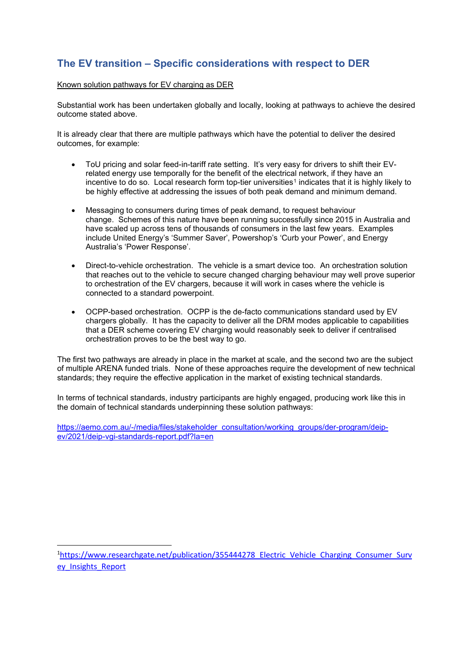# **The EV transition – Specific considerations with respect to DER**

### Known solution pathways for EV charging as DER

Substantial work has been undertaken globally and locally, looking at pathways to achieve the desired outcome stated above.

It is already clear that there are multiple pathways which have the potential to deliver the desired outcomes, for example:

- ToU pricing and solar feed-in-tariff rate setting. It's very easy for drivers to shift their EVrelated energy use temporally for the benefit of the electrical network, if they have an incentive to do so. Local research form top-tier universities<sup>[1](#page-2-0)</sup> indicates that it is highly likely to be highly effective at addressing the issues of both peak demand and minimum demand.
- Messaging to consumers during times of peak demand, to request behaviour change. Schemes of this nature have been running successfully since 2015 in Australia and have scaled up across tens of thousands of consumers in the last few years. Examples include United Energy's 'Summer Saver', Powershop's 'Curb your Power', and Energy Australia's 'Power Response'.
- Direct-to-vehicle orchestration. The vehicle is a smart device too. An orchestration solution that reaches out to the vehicle to secure changed charging behaviour may well prove superior to orchestration of the EV chargers, because it will work in cases where the vehicle is connected to a standard powerpoint.
- OCPP-based orchestration. OCPP is the de-facto communications standard used by EV chargers globally. It has the capacity to deliver all the DRM modes applicable to capabilities that a DER scheme covering EV charging would reasonably seek to deliver if centralised orchestration proves to be the best way to go.

The first two pathways are already in place in the market at scale, and the second two are the subject of multiple ARENA funded trials. None of these approaches require the development of new technical standards; they require the effective application in the market of existing technical standards.

In terms of technical standards, industry participants are highly engaged, producing work like this in the domain of technical standards underpinning these solution pathways:

[https://aemo.com.au/-/media/files/stakeholder\\_consultation/working\\_groups/der-program/deip](https://aemo.com.au/-/media/files/stakeholder_consultation/working_groups/der-program/deip-ev/2021/deip-vgi-standards-report.pdf?la=en)[ev/2021/deip-vgi-standards-report.pdf?la=en](https://aemo.com.au/-/media/files/stakeholder_consultation/working_groups/der-program/deip-ev/2021/deip-vgi-standards-report.pdf?la=en)

<span id="page-2-0"></span><sup>&</sup>lt;sup>1</sup>[https://www.researchgate.net/publication/355444278\\_Electric\\_Vehicle\\_Charging\\_Consumer\\_Surv](https://www.researchgate.net/publication/355444278_Electric_Vehicle_Charging_Consumer_Survey_Insights_Report) ey Insights Report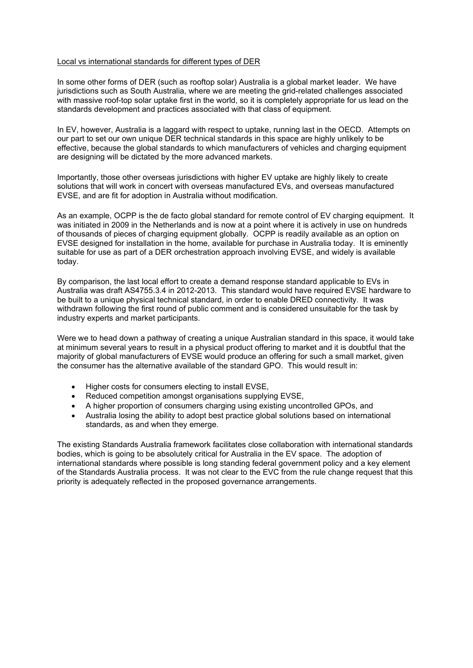### Local vs international standards for different types of DER

In some other forms of DER (such as rooftop solar) Australia is a global market leader. We have jurisdictions such as South Australia, where we are meeting the grid-related challenges associated with massive roof-top solar uptake first in the world, so it is completely appropriate for us lead on the standards development and practices associated with that class of equipment.

In EV, however, Australia is a laggard with respect to uptake, running last in the OECD. Attempts on our part to set our own unique DER technical standards in this space are highly unlikely to be effective, because the global standards to which manufacturers of vehicles and charging equipment are designing will be dictated by the more advanced markets.

Importantly, those other overseas jurisdictions with higher EV uptake are highly likely to create solutions that will work in concert with overseas manufactured EVs, and overseas manufactured EVSE, and are fit for adoption in Australia without modification.

As an example, OCPP is the de facto global standard for remote control of EV charging equipment. It was initiated in 2009 in the Netherlands and is now at a point where it is actively in use on hundreds of thousands of pieces of charging equipment globally. OCPP is readily available as an option on EVSE designed for installation in the home, available for purchase in Australia today. It is eminently suitable for use as part of a DER orchestration approach involving EVSE, and widely is available today.

By comparison, the last local effort to create a demand response standard applicable to EVs in Australia was draft AS4755.3.4 in 2012-2013. This standard would have required EVSE hardware to be built to a unique physical technical standard, in order to enable DRED connectivity. It was withdrawn following the first round of public comment and is considered unsuitable for the task by industry experts and market participants.

Were we to head down a pathway of creating a unique Australian standard in this space, it would take at minimum several years to result in a physical product offering to market and it is doubtful that the majority of global manufacturers of EVSE would produce an offering for such a small market, given the consumer has the alternative available of the standard GPO. This would result in:

- Higher costs for consumers electing to install EVSE,
- Reduced competition amongst organisations supplying EVSE.
- A higher proportion of consumers charging using existing uncontrolled GPOs, and
- Australia losing the ability to adopt best practice global solutions based on international standards, as and when they emerge.

The existing Standards Australia framework facilitates close collaboration with international standards bodies, which is going to be absolutely critical for Australia in the EV space. The adoption of international standards where possible is long standing federal government policy and a key element of the Standards Australia process. It was not clear to the EVC from the rule change request that this priority is adequately reflected in the proposed governance arrangements.